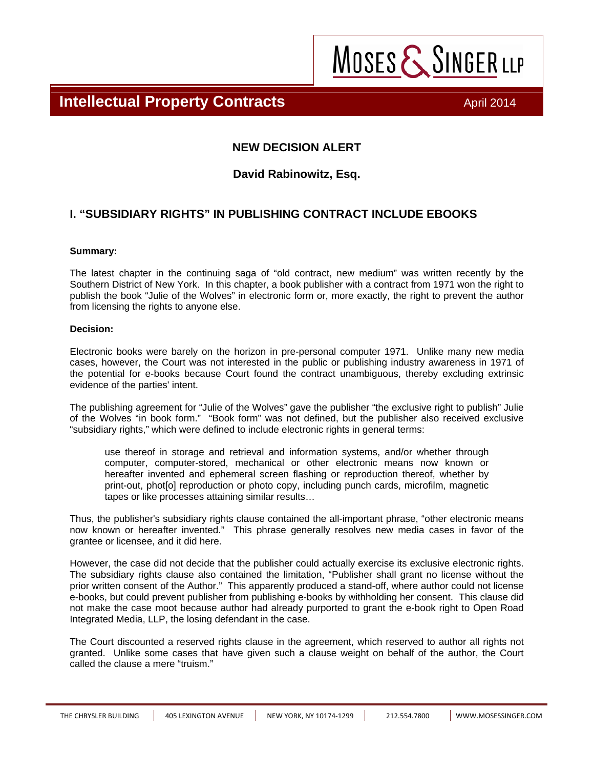**Intellectual Property Contracts April 2014 April 2014** 

MOSES & SINGER LLP

#### **NEW DECISION ALERT**

#### **David Rabinowitz, Esq.**

### **I. "SUBSIDIARY RIGHTS" IN PUBLISHING CONTRACT INCLUDE EBOOKS**

#### **Summary:**

The latest chapter in the continuing saga of "old contract, new medium" was written recently by the Southern District of New York. In this chapter, a book publisher with a contract from 1971 won the right to publish the book "Julie of the Wolves" in electronic form or, more exactly, the right to prevent the author from licensing the rights to anyone else.

#### **Decision:**

Electronic books were barely on the horizon in pre-personal computer 1971. Unlike many new media cases, however, the Court was not interested in the public or publishing industry awareness in 1971 of the potential for e-books because Court found the contract unambiguous, thereby excluding extrinsic evidence of the parties' intent.

The publishing agreement for "Julie of the Wolves" gave the publisher "the exclusive right to publish" Julie of the Wolves "in book form." "Book form" was not defined, but the publisher also received exclusive "subsidiary rights," which were defined to include electronic rights in general terms:

use thereof in storage and retrieval and information systems, and/or whether through computer, computer-stored, mechanical or other electronic means now known or hereafter invented and ephemeral screen flashing or reproduction thereof, whether by print-out, phot[o] reproduction or photo copy, including punch cards, microfilm, magnetic tapes or like processes attaining similar results…

Thus, the publisher's subsidiary rights clause contained the all-important phrase, "other electronic means now known or hereafter invented." This phrase generally resolves new media cases in favor of the grantee or licensee, and it did here.

However, the case did not decide that the publisher could actually exercise its exclusive electronic rights. The subsidiary rights clause also contained the limitation, "Publisher shall grant no license without the prior written consent of the Author." This apparently produced a stand-off, where author could not license e-books, but could prevent publisher from publishing e-books by withholding her consent. This clause did not make the case moot because author had already purported to grant the e-book right to Open Road Integrated Media, LLP, the losing defendant in the case.

The Court discounted a reserved rights clause in the agreement, which reserved to author all rights not granted. Unlike some cases that have given such a clause weight on behalf of the author, the Court called the clause a mere "truism."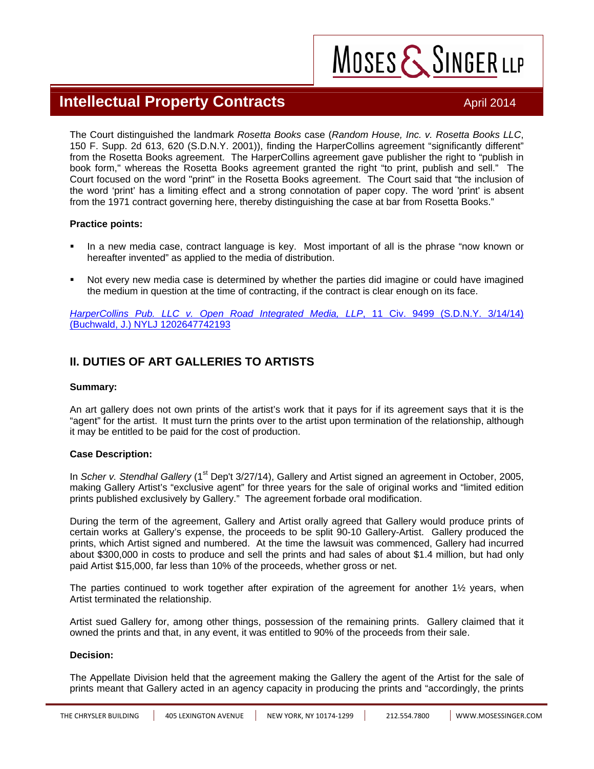## **Intellectual Property Contracts April 2014 April 2014**

MOSES & SINGER LLP

The Court distinguished the landmark *Rosetta Books* case (*Random House, Inc. v. Rosetta Books LLC*, 150 F. Supp. 2d 613, 620 (S.D.N.Y. 2001)), finding the HarperCollins agreement "significantly different" from the Rosetta Books agreement. The HarperCollins agreement gave publisher the right to "publish in book form," whereas the Rosetta Books agreement granted the right "to print, publish and sell." The Court focused on the word "print" in the Rosetta Books agreement. The Court said that "the inclusion of the word 'print' has a limiting effect and a strong connotation of paper copy. The word 'print' is absent from the 1971 contract governing here, thereby distinguishing the case at bar from Rosetta Books."

#### **Practice points:**

- In a new media case, contract language is key. Most important of all is the phrase "now known or hereafter invented" as applied to the media of distribution.
- Not every new media case is determined by whether the parties did imagine or could have imagined the medium in question at the time of contracting, if the contract is clear enough on its face.

*[HarperCollins Pub. LLC v. Open Road Integrated Media, LLP](http://www.mosessinger.com/site/rte_uploads/files/HarperCollinsvOpenRoadDistCt.pdf)*, 11 Civ. 9499 (S.D.N.Y. 3/14/14) (Buchwald, J.) NYLJ 1202647742193

### **II. DUTIES OF ART GALLERIES TO ARTISTS**

#### **Summary:**

An art gallery does not own prints of the artist's work that it pays for if its agreement says that it is the "agent" for the artist. It must turn the prints over to the artist upon termination of the relationship, although it may be entitled to be paid for the cost of production.

#### **Case Description:**

In *Scher v. Stendhal Gallery* (1<sup>st</sup> Dep't 3/27/14), Gallery and Artist signed an agreement in October, 2005, making Gallery Artist's "exclusive agent" for three years for the sale of original works and "limited edition prints published exclusively by Gallery." The agreement forbade oral modification.

During the term of the agreement, Gallery and Artist orally agreed that Gallery would produce prints of certain works at Gallery's expense, the proceeds to be split 90-10 Gallery-Artist. Gallery produced the prints, which Artist signed and numbered. At the time the lawsuit was commenced, Gallery had incurred about \$300,000 in costs to produce and sell the prints and had sales of about \$1.4 million, but had only paid Artist \$15,000, far less than 10% of the proceeds, whether gross or net.

The parties continued to work together after expiration of the agreement for another 1½ years, when Artist terminated the relationship.

Artist sued Gallery for, among other things, possession of the remaining prints. Gallery claimed that it owned the prints and that, in any event, it was entitled to 90% of the proceeds from their sale.

#### **Decision:**

The Appellate Division held that the agreement making the Gallery the agent of the Artist for the sale of prints meant that Gallery acted in an agency capacity in producing the prints and "accordingly, the prints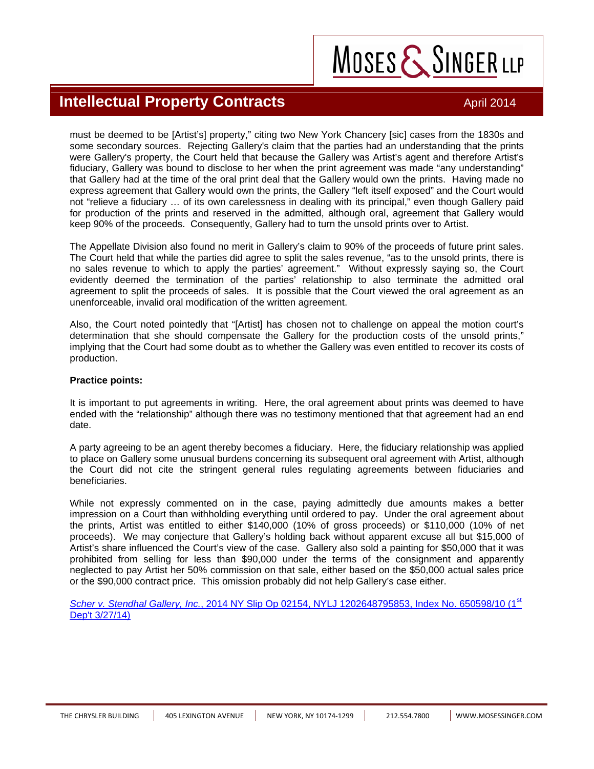# MOSES & SINGER LLP

## **Intellectual Property Contracts April 2014 April 2014**

must be deemed to be [Artist's] property," citing two New York Chancery [sic] cases from the 1830s and some secondary sources. Rejecting Gallery's claim that the parties had an understanding that the prints were Gallery's property, the Court held that because the Gallery was Artist's agent and therefore Artist's fiduciary, Gallery was bound to disclose to her when the print agreement was made "any understanding" that Gallery had at the time of the oral print deal that the Gallery would own the prints. Having made no express agreement that Gallery would own the prints, the Gallery "left itself exposed" and the Court would not "relieve a fiduciary … of its own carelessness in dealing with its principal," even though Gallery paid for production of the prints and reserved in the admitted, although oral, agreement that Gallery would keep 90% of the proceeds. Consequently, Gallery had to turn the unsold prints over to Artist.

The Appellate Division also found no merit in Gallery's claim to 90% of the proceeds of future print sales. The Court held that while the parties did agree to split the sales revenue, "as to the unsold prints, there is no sales revenue to which to apply the parties' agreement." Without expressly saying so, the Court evidently deemed the termination of the parties' relationship to also terminate the admitted oral agreement to split the proceeds of sales. It is possible that the Court viewed the oral agreement as an unenforceable, invalid oral modification of the written agreement.

Also, the Court noted pointedly that "[Artist] has chosen not to challenge on appeal the motion court's determination that she should compensate the Gallery for the production costs of the unsold prints," implying that the Court had some doubt as to whether the Gallery was even entitled to recover its costs of production.

#### **Practice points:**

It is important to put agreements in writing. Here, the oral agreement about prints was deemed to have ended with the "relationship" although there was no testimony mentioned that that agreement had an end date.

A party agreeing to be an agent thereby becomes a fiduciary. Here, the fiduciary relationship was applied to place on Gallery some unusual burdens concerning its subsequent oral agreement with Artist, although the Court did not cite the stringent general rules regulating agreements between fiduciaries and beneficiaries.

While not expressly commented on in the case, paying admittedly due amounts makes a better impression on a Court than withholding everything until ordered to pay. Under the oral agreement about the prints, Artist was entitled to either \$140,000 (10% of gross proceeds) or \$110,000 (10% of net proceeds). We may conjecture that Gallery's holding back without apparent excuse all but \$15,000 of Artist's share influenced the Court's view of the case. Gallery also sold a painting for \$50,000 that it was prohibited from selling for less than \$90,000 under the terms of the consignment and apparently neglected to pay Artist her 50% commission on that sale, either based on the \$50,000 actual sales price or the \$90,000 contract price. This omission probably did not help Gallery's case either.

*Scher v. Stendhal Gallery, Inc.*[, 2014 NY Slip Op 02154, NYLJ 1202648795853, Index No. 650598/10 \(1](http://www.mosessinger.com/site/rte_uploads/files/SchervStendhalGalleryInc.pdf)st Dep't 3/27/14)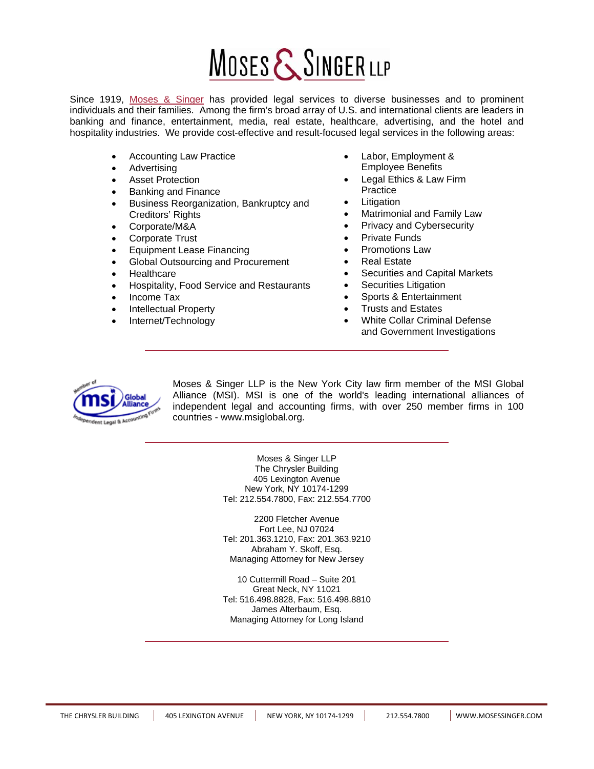# MOSES & SINGER LLP

Since 1919, [Moses & Singer](http://www.mosessinger.com) has provided legal services to diverse businesses and to prominent individuals and their families. Among the firm's broad array of U.S. and international clients are leaders in banking and finance, entertainment, media, real estate, healthcare, advertising, and the hotel and hospitality industries. We provide cost-effective and result-focused legal services in the following areas:

- Accounting Law Practice
- **Advertising**
- **Asset Protection**
- Banking and Finance
- Business Reorganization, Bankruptcy and Creditors' Rights
- Corporate/M&A
- Corporate Trust
- Equipment Lease Financing
- Global Outsourcing and Procurement
- **Healthcare**
- Hospitality, Food Service and Restaurants
- Income Tax
- Intellectual Property
- Internet/Technology
- Labor, Employment & Employee Benefits
- Legal Ethics & Law Firm **Practice**
- **Litigation**
- Matrimonial and Family Law
- Privacy and Cybersecurity
- Private Funds
- Promotions Law
- Real Estate
- Securities and Capital Markets
- Securities Litigation
- Sports & Entertainment
- Trusts and Estates
- White Collar Criminal Defense and Government Investigations



Moses & Singer LLP is the New York City law firm member of the MSI Global Alliance (MSI). MSI is one of the world's leading international alliances of independent legal and accounting firms, with over 250 member firms in 100 countries - www.msiglobal.org.

> Moses & Singer LLP The Chrysler Building 405 Lexington Avenue New York, NY 10174-1299 Tel: 212.554.7800, Fax: 212.554.7700

> 2200 Fletcher Avenue Fort Lee, NJ 07024 Tel: 201.363.1210, Fax: 201.363.9210 Abraham Y. Skoff, Esq. Managing Attorney for New Jersey

> 10 Cuttermill Road – Suite 201 Great Neck, NY 11021 Tel: 516.498.8828, Fax: 516.498.8810 James Alterbaum, Esq. Managing Attorney for Long Island